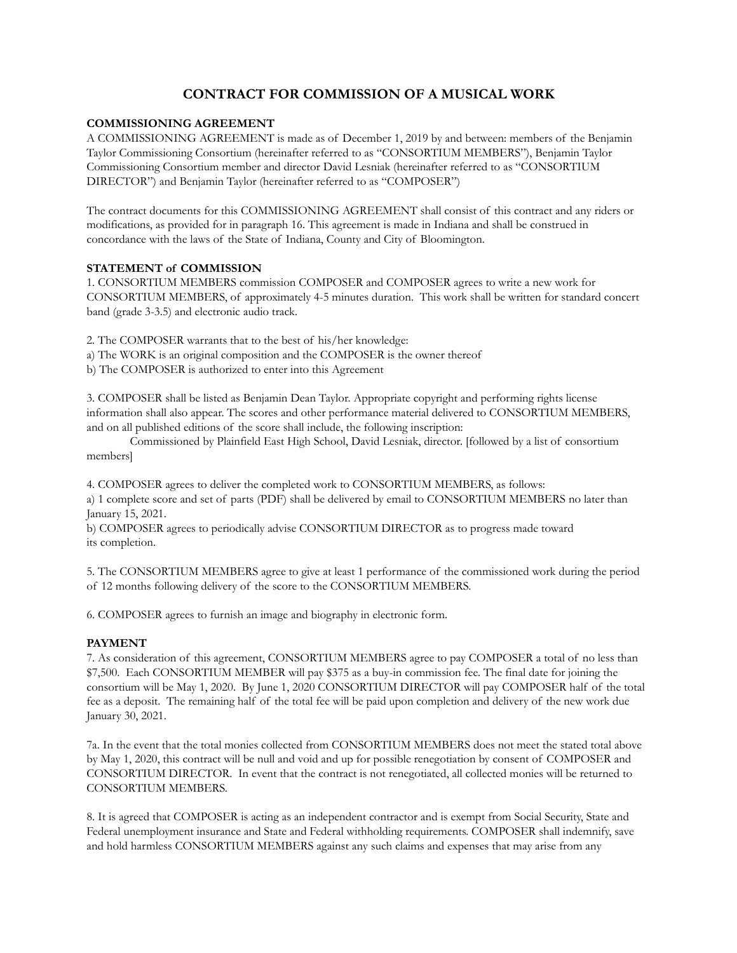# **CONTRACT FOR COMMISSION OF A MUSICAL WORK**

#### **COMMISSIONING AGREEMENT**

A COMMISSIONING AGREEMENT is made as of December 1, 2019 by and between: members of the Benjamin Taylor Commissioning Consortium (hereinafter referred to as "CONSORTIUM MEMBERS"), Benjamin Taylor Commissioning Consortium member and director David Lesniak (hereinafter referred to as "CONSORTIUM DIRECTOR") and Benjamin Taylor (hereinafter referred to as "COMPOSER")

The contract documents for this COMMISSIONING AGREEMENT shall consist of this contract and any riders or modifications, as provided for in paragraph 16. This agreement is made in Indiana and shall be construed in concordance with the laws of the State of Indiana, County and City of Bloomington.

#### **STATEMENT of COMMISSION**

1. CONSORTIUM MEMBERS commission COMPOSER and COMPOSER agrees to write a new work for CONSORTIUM MEMBERS, of approximately 4-5 minutes duration. This work shall be written for standard concert band (grade 3-3.5) and electronic audio track.

2. The COMPOSER warrants that to the best of his/her knowledge:

a) The WORK is an original composition and the COMPOSER is the owner thereof

b) The COMPOSER is authorized to enter into this Agreement

3. COMPOSER shall be listed as Benjamin Dean Taylor. Appropriate copyright and performing rights license information shall also appear. The scores and other performance material delivered to CONSORTIUM MEMBERS, and on all published editions of the score shall include, the following inscription:

 Commissioned by Plainfield East High School, David Lesniak, director. [followed by a list of consortium members]

4. COMPOSER agrees to deliver the completed work to CONSORTIUM MEMBERS, as follows: a) 1 complete score and set of parts (PDF) shall be delivered by email to CONSORTIUM MEMBERS no later than January 15, 2021.

b) COMPOSER agrees to periodically advise CONSORTIUM DIRECTOR as to progress made toward its completion.

5. The CONSORTIUM MEMBERS agree to give at least 1 performance of the commissioned work during the period of 12 months following delivery of the score to the CONSORTIUM MEMBERS.

6. COMPOSER agrees to furnish an image and biography in electronic form.

## **PAYMENT**

7. As consideration of this agreement, CONSORTIUM MEMBERS agree to pay COMPOSER a total of no less than \$7,500. Each CONSORTIUM MEMBER will pay \$375 as a buy-in commission fee. The final date for joining the consortium will be May 1, 2020. By June 1, 2020 CONSORTIUM DIRECTOR will pay COMPOSER half of the total fee as a deposit. The remaining half of the total fee will be paid upon completion and delivery of the new work due January 30, 2021.

7a. In the event that the total monies collected from CONSORTIUM MEMBERS does not meet the stated total above by May 1, 2020, this contract will be null and void and up for possible renegotiation by consent of COMPOSER and CONSORTIUM DIRECTOR. In event that the contract is not renegotiated, all collected monies will be returned to CONSORTIUM MEMBERS.

8. It is agreed that COMPOSER is acting as an independent contractor and is exempt from Social Security, State and Federal unemployment insurance and State and Federal withholding requirements. COMPOSER shall indemnify, save and hold harmless CONSORTIUM MEMBERS against any such claims and expenses that may arise from any